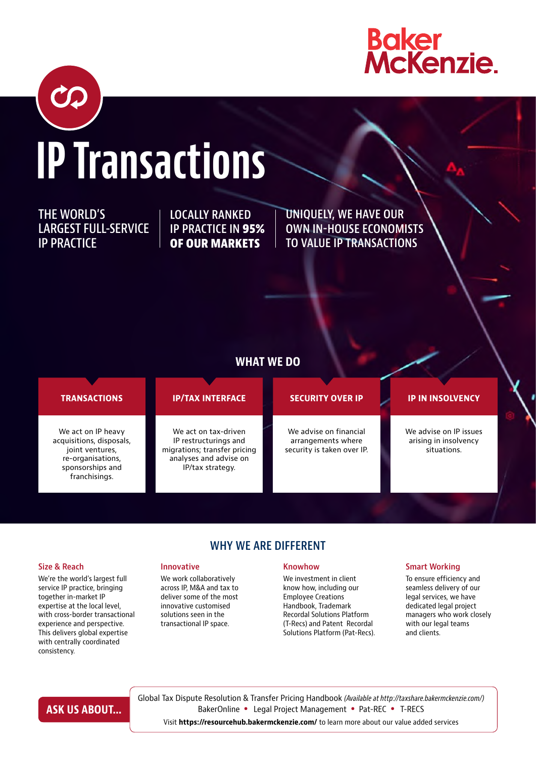

# IP Transactions

THE WORLD'S LARGEST FULL-SERVICE IP PRACTICE

LOCALLY RANKED IP PRACTICE IN 95% OF OUR MARKETS

UNIQUELY, WE HAVE OUR OWN IN-HOUSE ECONOMISTS TO VALUE IP TRANSACTIONS

### WHAT WE DO

#### We act on IP heavy acquisitions, disposals, joint ventures, re-organisations, sponsorships and franchisings. We advise on IP issues arising in insolvency situations. We act on tax-driven IP restructurings and migrations; transfer pricing analyses and advise on IP/tax strategy. We advise on financial arrangements where security is taken over IP. TRANSACTIONS IP/TAX INTERFACE SECURITY OVER IP IP IN INSOLVENCY

WHY WE ARE DIFFERENT

#### Size & Reach

We're the world's largest full service IP practice, bringing together in-market IP expertise at the local level, with cross-border transactional experience and perspective. This delivers global expertise with centrally coordinated consistency.

#### Innovative

We work collaboratively across IP, M&A and tax to deliver some of the most innovative customised solutions seen in the transactional IP space.

#### Knowhow

We investment in client know how, including our Employee Creations Handbook, Trademark Recordal Solutions Platform (T-Recs) and Patent Recordal Solutions Platform (Pat-Recs).

#### Smart Working

To ensure efficiency and seamless delivery of our legal services, we have dedicated legal project managers who work closely with our legal teams and clients.

# ASK US ABOUT...

Global Tax Dispute Resolution & Transfer Pricing Handbook *(Available at http://taxshare.bakermckenzie.com/)* BakerOnline • Legal Project Management • Pat-REC • T-RECS

Visit <https://resourcehub.bakermckenzie.com/> to learn more about our value added services